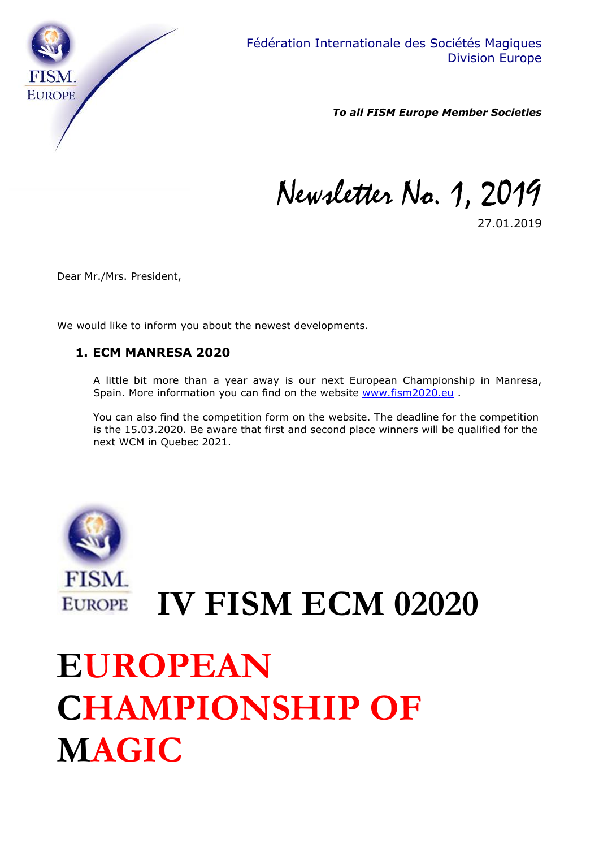

*To all FISM Europe Member Societies*

Newsletter No. 1, 2019

27.01.2019

Dear Mr./Mrs. President,

We would like to inform you about the newest developments.

### **1. ECM MANRESA 2020**

A little bit more than a year away is our next European Championship in Manresa, Spain. More information you can find on the website [www.fism2020.eu](http://www.fism2020.eu/) .

You can also find the competition form on the website. The deadline for the competition is the 15.03.2020. Be aware that first and second place winners will be qualified for the next WCM in Quebec 2021.



**IV FISM ECM 02020 EUROPE** 

### **EUROPEAN CHAMPIONSHIP OF MAGIC**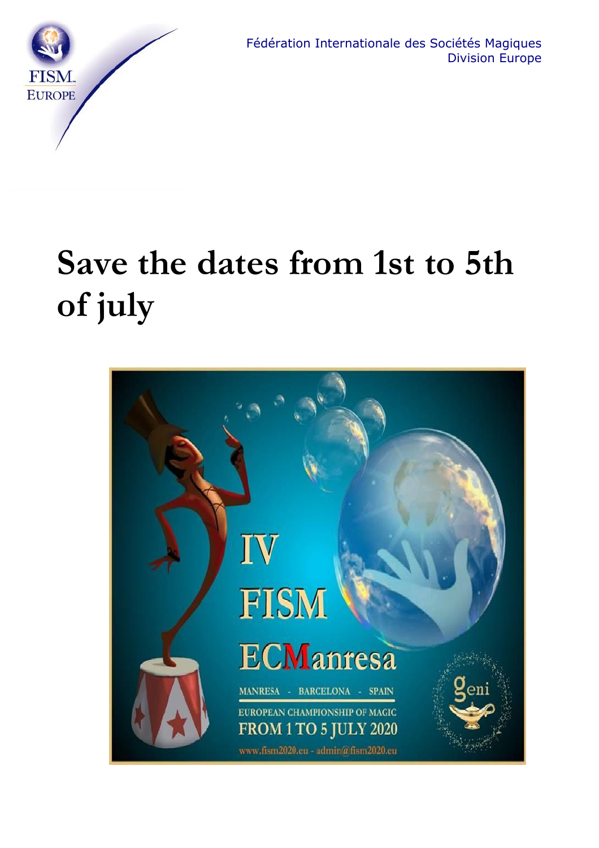

## **Save the dates from 1st to 5th of july**

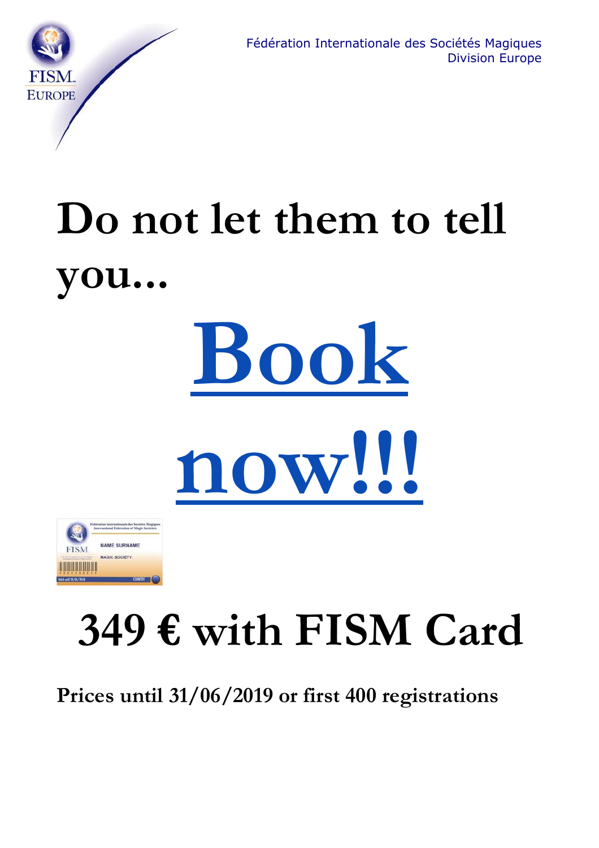

# **Do not let them to tell you...**



**[now!!!](https://www.fism2020.eu/inscriptions/)**



## **349 € with FISM Card**

**Prices until 31/06/2019 or first 400 registrations**